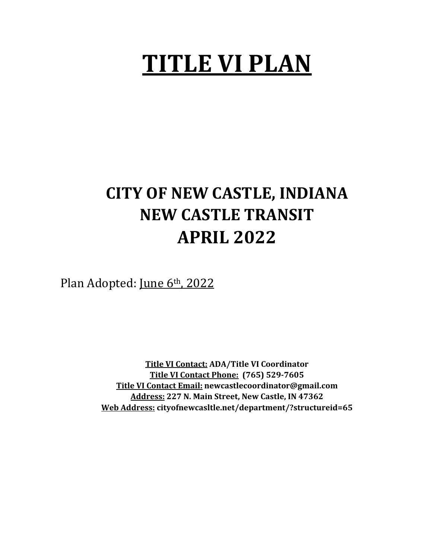# **TITLE VI PLAN**

## **CITY OF NEW CASTLE, INDIANA NEW CASTLE TRANSIT APRIL 2022**

Plan Adopted: June 6th, 2022

**Title VI Contact: ADA/Title VI Coordinator Title VI Contact Phone: (765) 529-7605 Title VI Contact Email: newcastlecoordinator@gmail.com Address: 227 N. Main Street, New Castle, IN 47362 Web Address: cityofnewcasltle.net/department/?structureid=65**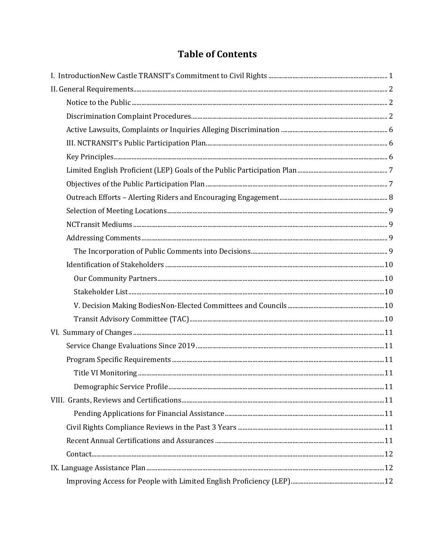## **Table of Contents**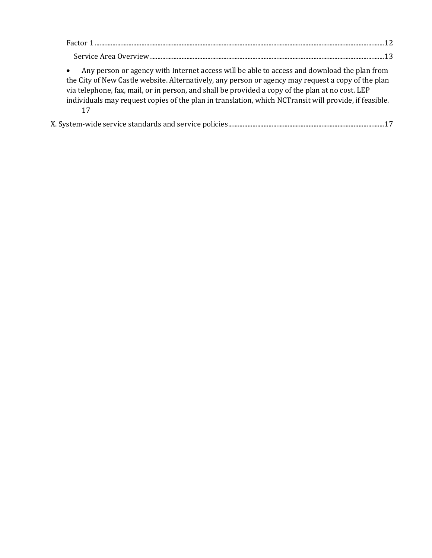| Any person or agency with Internet access will be able to access and download the plan from<br>the City of New Castle website. Alternatively, any person or agency may request a copy of the plan<br>via telephone, fax, mail, or in person, and shall be provided a copy of the plan at no cost. LEP<br>individuals may request copies of the plan in translation, which NCT ransit will provide, if feasible.<br>17 |  |
|-----------------------------------------------------------------------------------------------------------------------------------------------------------------------------------------------------------------------------------------------------------------------------------------------------------------------------------------------------------------------------------------------------------------------|--|

|--|--|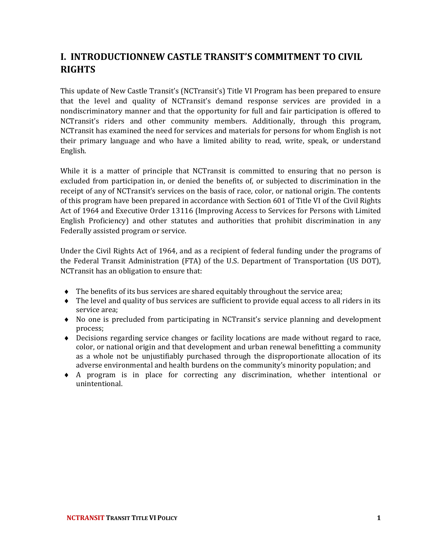## <span id="page-3-0"></span>**I. INTRODUCTIONNEW CASTLE TRANSIT'S COMMITMENT TO CIVIL RIGHTS**

This update of New Castle Transit's (NCTransit's) Title VI Program has been prepared to ensure that the level and quality of NCTransit's demand response services are provided in a nondiscriminatory manner and that the opportunity for full and fair participation is offered to NCTransit's riders and other community members. Additionally, through this program, NCTransit has examined the need for services and materials for persons for whom English is not their primary language and who have a limited ability to read, write, speak, or understand English.

While it is a matter of principle that NCTransit is committed to ensuring that no person is excluded from participation in, or denied the benefits of, or subjected to discrimination in the receipt of any of NCTransit's services on the basis of race, color, or national origin. The contents of this program have been prepared in accordance with Section 601 of Title VI of the Civil Rights Act of 1964 and Executive Order 13116 (Improving Access to Services for Persons with Limited English Proficiency) and other statutes and authorities that prohibit discrimination in any Federally assisted program or service.

Under the Civil Rights Act of 1964, and as a recipient of federal funding under the programs of the Federal Transit Administration (FTA) of the U.S. Department of Transportation (US DOT), NCTransit has an obligation to ensure that:

- The benefits of its bus services are shared equitably throughout the service area;
- The level and quality of bus services are sufficient to provide equal access to all riders in its service area;
- No one is precluded from participating in NCTransit's service planning and development process;
- Decisions regarding service changes or facility locations are made without regard to race, color, or national origin and that development and urban renewal benefitting a community as a whole not be unjustifiably purchased through the disproportionate allocation of its adverse environmental and health burdens on the community's minority population; and
- A program is in place for correcting any discrimination, whether intentional or unintentional.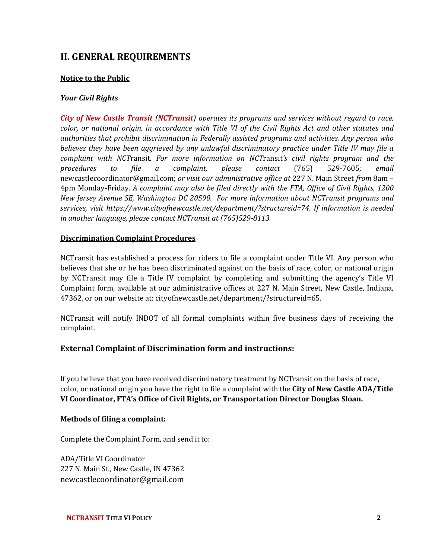## <span id="page-4-0"></span>**II. GENERAL REQUIREMENTS**

#### <span id="page-4-1"></span>**Notice to the Public**

#### *Your Civil Rights*

*City of New Castle Transit (NCTransit) operates its programs and services without regard to race, color, or national origin, in accordance with Title VI of the Civil Rights Act and other statutes and authorities that prohibit discrimination in Federally assisted programs and activities. Any person who believes they have been aggrieved by any unlawful discriminatory practice under Title IV may file a complaint with NCT*ransit*. For more information on NCT*ransit*'s civil rights program and the procedures to file a complaint, please contact* (765) 529-7605*; email* newcastlecoordinator@gmail.com; *or visit our administrative office at* 227 N. Main Street *from* 8am – 4pm Monday-Friday*. A complaint may also be filed directly with the FTA, Office of Civil Rights, 1200 New Jersey Avenue SE, Washington DC 20590. For more information about NCTransit programs and services, visit https://www.cityofnewcastle.net/department/?structureid=74. If information is needed in another language, please contact NCTransit at (765)529-8113.*

#### <span id="page-4-2"></span>**Discrimination Complaint Procedures**

NCTransit has established a process for riders to file a complaint under Title VI. Any person who believes that she or he has been discriminated against on the basis of race, color, or national origin by NCTransit may file a Title IV complaint by completing and submitting the agency's Title VI Complaint form, available at our administrative offices at 227 N. Main Street, New Castle, Indiana, 47362, or on our website at: cityofnewcastle.net/department/?structureid=65.

NCTransit will notify INDOT of all formal complaints within five business days of receiving the complaint.

#### **External Complaint of Discrimination form and instructions:**

If you believe that you have received discriminatory treatment by NCTransit on the basis of race, color, or national origin you have the right to file a complaint with the **City of New Castle ADA/Title VI Coordinator, FTA's Office of Civil Rights, or Transportation Director Douglas Sloan.**

#### **Methods of filing a complaint:**

Complete the Complaint Form, and send it to:

ADA/Title VI Coordinator 227 N. Main St., New Castle, IN 47362 newcastlecoordinator@gmail.com

**NCTRANSIT TITLE VI POLICY 2**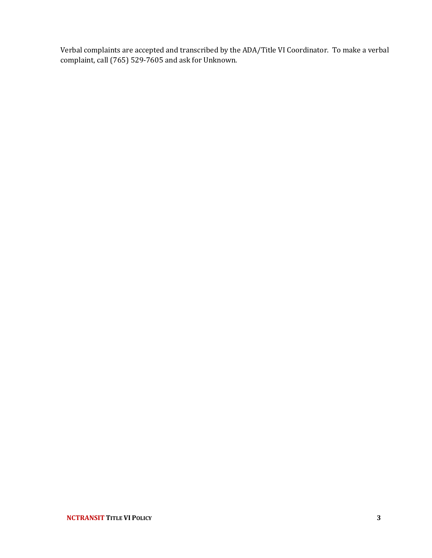Verbal complaints are accepted and transcribed by the ADA/Title VI Coordinator.To make a verbal complaint, call (765) 529-7605 and ask for Unknown.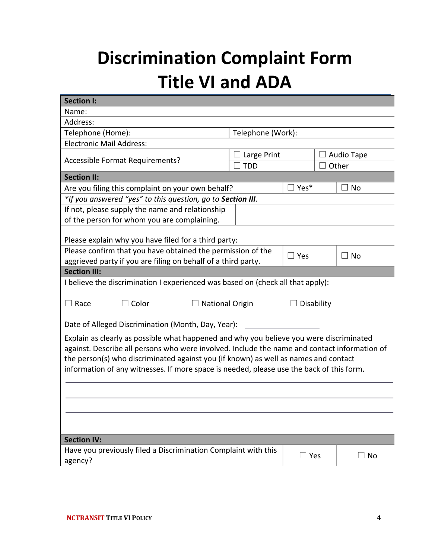## **Discrimination Complaint Form Title VI and ADA**

| <b>Section I:</b>                                                                            |                   |               |       |            |  |
|----------------------------------------------------------------------------------------------|-------------------|---------------|-------|------------|--|
| Name:                                                                                        |                   |               |       |            |  |
| Address:                                                                                     |                   |               |       |            |  |
| Telephone (Home):                                                                            | Telephone (Work): |               |       |            |  |
| <b>Electronic Mail Address:</b>                                                              |                   |               |       |            |  |
| Accessible Format Requirements?                                                              | Large Print       |               |       | Audio Tape |  |
|                                                                                              | <b>TDD</b>        |               | Other |            |  |
| <b>Section II:</b>                                                                           |                   |               |       |            |  |
| Are you filing this complaint on your own behalf?                                            |                   | $\Box$ Yes*   |       | No         |  |
| *If you answered "yes" to this question, go to Section III.                                  |                   |               |       |            |  |
| If not, please supply the name and relationship                                              |                   |               |       |            |  |
| of the person for whom you are complaining.                                                  |                   |               |       |            |  |
|                                                                                              |                   |               |       |            |  |
| Please explain why you have filed for a third party:                                         |                   |               |       |            |  |
| Please confirm that you have obtained the permission of the                                  |                   | $\square$ Yes |       | $\Box$ No  |  |
| aggrieved party if you are filing on behalf of a third party.                                |                   |               |       |            |  |
| <b>Section III:</b>                                                                          |                   |               |       |            |  |
| I believe the discrimination I experienced was based on (check all that apply):              |                   |               |       |            |  |
|                                                                                              |                   |               |       |            |  |
| $\Box$ Race<br>$\Box$ Color<br>$\Box$ National Origin<br>□ Disability                        |                   |               |       |            |  |
|                                                                                              |                   |               |       |            |  |
| Date of Alleged Discrimination (Month, Day, Year):                                           |                   |               |       |            |  |
| Explain as clearly as possible what happened and why you believe you were discriminated      |                   |               |       |            |  |
| against. Describe all persons who were involved. Include the name and contact information of |                   |               |       |            |  |
| the person(s) who discriminated against you (if known) as well as names and contact          |                   |               |       |            |  |
| information of any witnesses. If more space is needed, please use the back of this form.     |                   |               |       |            |  |
|                                                                                              |                   |               |       |            |  |
|                                                                                              |                   |               |       |            |  |
|                                                                                              |                   |               |       |            |  |
|                                                                                              |                   |               |       |            |  |
|                                                                                              |                   |               |       |            |  |
| <b>Section IV:</b>                                                                           |                   |               |       |            |  |
| Have you previously filed a Discrimination Complaint with this                               |                   |               |       |            |  |
| agency?                                                                                      |                   | $\Box$ Yes    |       | $\Box$ No  |  |
|                                                                                              |                   |               |       |            |  |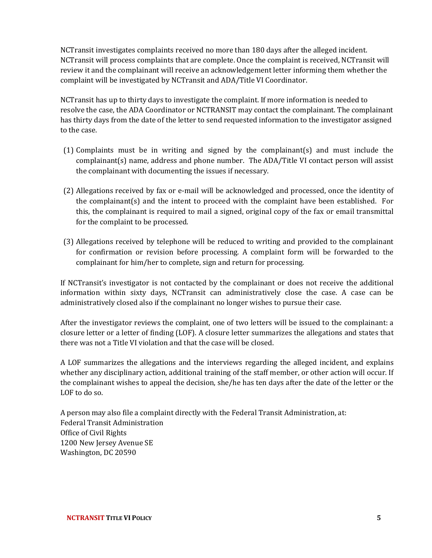NCTransit investigates complaints received no more than 180 days after the alleged incident. NCTransit will process complaints that are complete. Once the complaint is received, NCTransit will review it and the complainant will receive an acknowledgement letter informing them whether the complaint will be investigated by NCTransit and ADA/Title VI Coordinator.

NCTransit has up to thirty days to investigate the complaint. If more information is needed to resolve the case, the ADA Coordinator or NCTRANSIT may contact the complainant. The complainant has thirty days from the date of the letter to send requested information to the investigator assigned to the case.

- (1) Complaints must be in writing and signed by the complainant(s) and must include the complainant(s) name, address and phone number. The ADA/Title VI contact person will assist the complainant with documenting the issues if necessary.
- (2) Allegations received by fax or e-mail will be acknowledged and processed, once the identity of the complainant(s) and the intent to proceed with the complaint have been established. For this, the complainant is required to mail a signed, original copy of the fax or email transmittal for the complaint to be processed.
- (3) Allegations received by telephone will be reduced to writing and provided to the complainant for confirmation or revision before processing. A complaint form will be forwarded to the complainant for him/her to complete, sign and return for processing.

If NCTransit's investigator is not contacted by the complainant or does not receive the additional information within sixty days, NCTransit can administratively close the case. A case can be administratively closed also if the complainant no longer wishes to pursue their case.

After the investigator reviews the complaint, one of two letters will be issued to the complainant: a closure letter or a letter of finding (LOF). A closure letter summarizes the allegations and states that there was not a Title VI violation and that the case will be closed.

A LOF summarizes the allegations and the interviews regarding the alleged incident, and explains whether any disciplinary action, additional training of the staff member, or other action will occur. If the complainant wishes to appeal the decision, she/he has ten days after the date of the letter or the LOF to do so.

A person may also file a complaint directly with the Federal Transit Administration, at: Federal Transit Administration Office of Civil Rights 1200 New Jersey Avenue SE Washington, DC 20590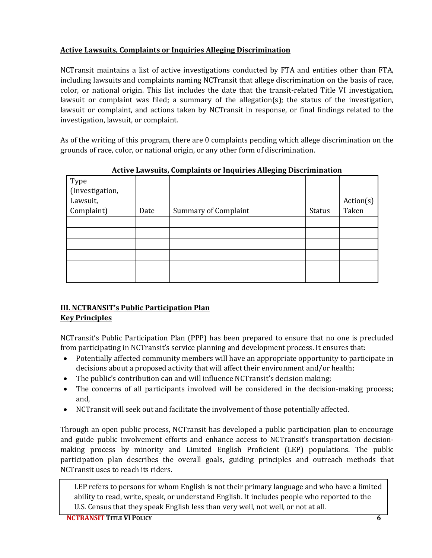#### <span id="page-8-0"></span>**Active Lawsuits, Complaints or Inquiries Alleging Discrimination**

NCTransit maintains a list of active investigations conducted by FTA and entities other than FTA, including lawsuits and complaints naming NCTransit that allege discrimination on the basis of race, color, or national origin. This list includes the date that the transit-related Title VI investigation, lawsuit or complaint was filed; a summary of the allegation(s); the status of the investigation, lawsuit or complaint, and actions taken by NCTransit in response, or final findings related to the investigation, lawsuit, or complaint.

As of the writing of this program, there are 0 complaints pending which allege discrimination on the grounds of race, color, or national origin, or any other form of discrimination.

|                                     |      | д.<br>ັ<br>ີ                |               |           |
|-------------------------------------|------|-----------------------------|---------------|-----------|
| Type<br>(Investigation,<br>Lawsuit, |      |                             |               | Action(s) |
| Complaint)                          | Date | <b>Summary of Complaint</b> | <b>Status</b> | Taken     |
|                                     |      |                             |               |           |
|                                     |      |                             |               |           |
|                                     |      |                             |               |           |
|                                     |      |                             |               |           |
|                                     |      |                             |               |           |
|                                     |      |                             |               |           |

**Active Lawsuits, Complaints or Inquiries Alleging Discrimination** 

#### <span id="page-8-2"></span><span id="page-8-1"></span>**III. NCTRANSIT's Public Participation Plan Key Principles**

NCTransit's Public Participation Plan (PPP) has been prepared to ensure that no one is precluded from participating in NCTransit's service planning and development process. It ensures that:

- Potentially affected community members will have an appropriate opportunity to participate in decisions about a proposed activity that will affect their environment and/or health;
- The public's contribution can and will influence NCT ransit's decision making;
- The concerns of all participants involved will be considered in the decision-making process; and,
- NCTransit will seek out and facilitate the involvement of those potentially affected.

Through an open public process, NCTransit has developed a public participation plan to encourage and guide public involvement efforts and enhance access to NCTransit's transportation decisionmaking process by minority and Limited English Proficient (LEP) populations. The public participation plan describes the overall goals, guiding principles and outreach methods that NCTransit uses to reach its riders.

LEP refers to persons for whom English is not their primary language and who have a limited ability to read, write, speak, or understand English. It includes people who reported to the U.S. Census that they speak English less than very well, not well, or not at all.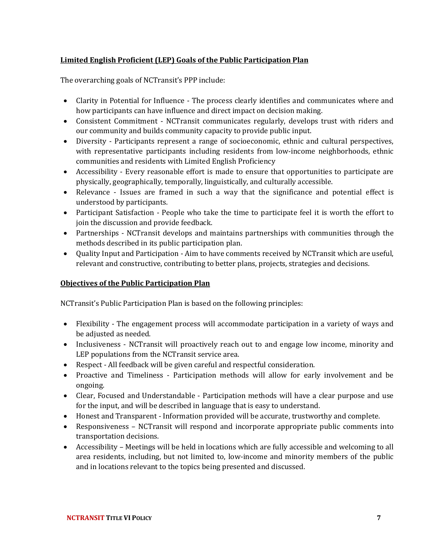#### <span id="page-9-0"></span>**Limited English Proficient (LEP) Goals of the Public Participation Plan**

The overarching goals of NCTransit's PPP include:

- Clarity in Potential for Influence The process clearly identifies and communicates where and how participants can have influence and direct impact on decision making.
- Consistent Commitment NCTransit communicates regularly, develops trust with riders and our community and builds community capacity to provide public input.
- Diversity Participants represent a range of socioeconomic, ethnic and cultural perspectives, with representative participants including residents from low-income neighborhoods, ethnic communities and residents with Limited English Proficiency
- Accessibility Every reasonable effort is made to ensure that opportunities to participate are physically, geographically, temporally, linguistically, and culturally accessible.
- Relevance Issues are framed in such a way that the significance and potential effect is understood by participants.
- Participant Satisfaction People who take the time to participate feel it is worth the effort to join the discussion and provide feedback.
- Partnerships NCTransit develops and maintains partnerships with communities through the methods described in its public participation plan.
- Quality Input and Participation Aim to have comments received by NCTransit which are useful, relevant and constructive, contributing to better plans, projects, strategies and decisions.

#### <span id="page-9-1"></span>**Objectives of the Public Participation Plan**

NCTransit's Public Participation Plan is based on the following principles:

- Flexibility The engagement process will accommodate participation in a variety of ways and be adjusted as needed.
- Inclusiveness NCTransit will proactively reach out to and engage low income, minority and LEP populations from the NCTransit service area.
- Respect All feedback will be given careful and respectful consideration.
- Proactive and Timeliness Participation methods will allow for early involvement and be ongoing.
- Clear, Focused and Understandable Participation methods will have a clear purpose and use for the input, and will be described in language that is easy to understand.
- Honest and Transparent Information provided will be accurate, trustworthy and complete.
- Responsiveness NCTransit will respond and incorporate appropriate public comments into transportation decisions.
- Accessibility Meetings will be held in locations which are fully accessible and welcoming to all area residents, including, but not limited to, low-income and minority members of the public and in locations relevant to the topics being presented and discussed.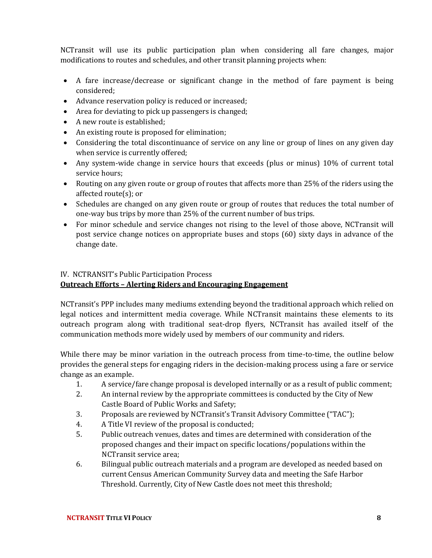NCTransit will use its public participation plan when considering all fare changes, major modifications to routes and schedules, and other transit planning projects when:

- A fare increase/decrease or significant change in the method of fare payment is being considered;
- Advance reservation policy is reduced or increased;
- Area for deviating to pick up passengers is changed;
- A new route is established;
- An existing route is proposed for elimination;
- Considering the total discontinuance of service on any line or group of lines on any given day when service is currently offered;
- Any system-wide change in service hours that exceeds (plus or minus) 10% of current total service hours;
- Routing on any given route or group of routes that affects more than 25% of the riders using the affected route(s); or
- Schedules are changed on any given route or group of routes that reduces the total number of one-way bus trips by more than 25% of the current number of bus trips.
- For minor schedule and service changes not rising to the level of those above, NCTransit will post service change notices on appropriate buses and stops (60) sixty days in advance of the change date.

### <span id="page-10-0"></span>IV. NCTRANSIT's Public Participation Process **Outreach Efforts – Alerting Riders and Encouraging Engagement**

NCTransit's PPP includes many mediums extending beyond the traditional approach which relied on legal notices and intermittent media coverage. While NCTransit maintains these elements to its outreach program along with traditional seat-drop flyers, NCTransit has availed itself of the communication methods more widely used by members of our community and riders.

While there may be minor variation in the outreach process from time-to-time, the outline below provides the general steps for engaging riders in the decision-making process using a fare or service change as an example.

- 1. A service/fare change proposal is developed internally or as a result of public comment;
- 2. An internal review by the appropriate committees is conducted by the City of New Castle Board of Public Works and Safety;
- 3. Proposals are reviewed by NCTransit's Transit Advisory Committee ("TAC");
- 4. A Title VI review of the proposal is conducted;
- 5. Public outreach venues, dates and times are determined with consideration of the proposed changes and their impact on specific locations/populations within the NCTransit service area;
- 6. Bilingual public outreach materials and a program are developed as needed based on current Census American Community Survey data and meeting the Safe Harbor Threshold. Currently, City of New Castle does not meet this threshold;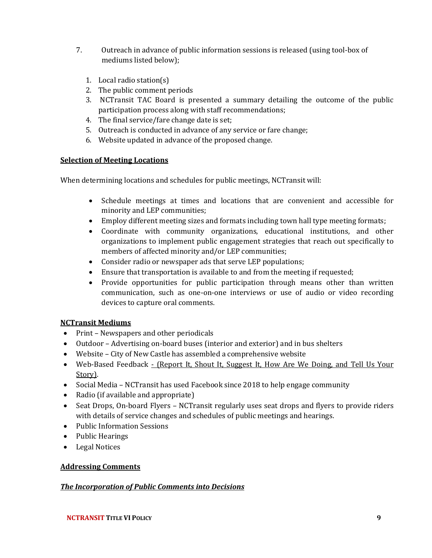- 7. Outreach in advance of public information sessions is released (using tool-box of mediums listed below);
	- 1. Local radio station(s)
	- 2. The public comment periods
	- 3. NCTransit TAC Board is presented a summary detailing the outcome of the public participation process along with staff recommendations;
	- 4. The final service/fare change date is set;
	- 5. Outreach is conducted in advance of any service or fare change;
	- 6. Website updated in advance of the proposed change.

#### <span id="page-11-0"></span>**Selection of Meeting Locations**

When determining locations and schedules for public meetings, NCTransit will:

- Schedule meetings at times and locations that are convenient and accessible for minority and LEP communities;
- Employ different meeting sizes and formats including town hall type meeting formats;
- Coordinate with community organizations, educational institutions, and other organizations to implement public engagement strategies that reach out specifically to members of affected minority and/or LEP communities;
- Consider radio or newspaper ads that serve LEP populations;
- Ensure that transportation is available to and from the meeting if requested;
- Provide opportunities for public participation through means other than written communication, such as one-on-one interviews or use of audio or video recording devices to capture oral comments.

#### <span id="page-11-1"></span>**NCTransit Mediums**

- Print Newspapers and other periodicals
- Outdoor Advertising on-board buses (interior and exterior) and in bus shelters
- Website City of New Castle has assembled a comprehensive website
- Web-Based Feedback (Report It, Shout It, Suggest It, How Are We Doing, and Tell Us Your Story).
- Social Media NCT ransit has used Facebook since 2018 to help engage community
- Radio (if available and appropriate)
- Seat Drops, On-board Flyers NCTransit regularly uses seat drops and flyers to provide riders with details of service changes and schedules of public meetings and hearings.
- Public Information Sessions
- Public Hearings
- Legal Notices

#### <span id="page-11-2"></span>**Addressing Comments**

#### <span id="page-11-3"></span>*The Incorporation of Public Comments into Decisions*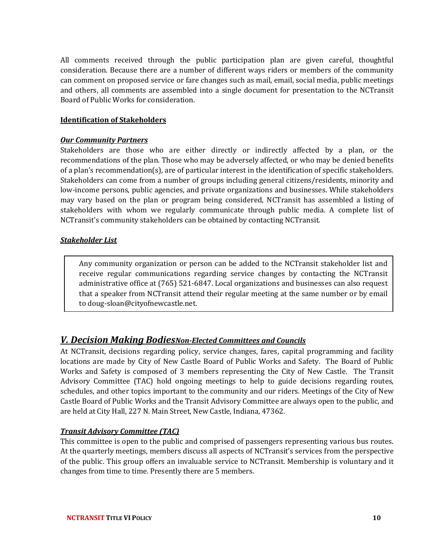All comments received through the public participation plan are given careful, thoughtful consideration. Because there are a number of different ways riders or members of the community can comment on proposed service or fare changes such as mail, email, social media, public meetings and others, all comments are assembled into a single document for presentation to the NCTransit Board of Public Works for consideration.

#### <span id="page-12-0"></span>**Identification of Stakeholders**

#### <span id="page-12-1"></span>*Our Community Partners*

Stakeholders are those who are either directly or indirectly affected by a plan, or the recommendations of the plan. Those who may be adversely affected, or who may be denied benefits of a plan's recommendation(s), are of particular interest in the identification of specific stakeholders. Stakeholders can come from a number of groups including general citizens/residents, minority and low-income persons, public agencies, and private organizations and businesses. While stakeholders may vary based on the plan or program being considered, NCTransit has assembled a listing of stakeholders with whom we regularly communicate through public media. A complete list of NCTransit's community stakeholders can be obtained by contacting NCTransit.

#### <span id="page-12-2"></span>*Stakeholder List*

Any community organization or person can be added to the NCTransit stakeholder list and receive regular communications regarding service changes by contacting the NCTransit administrative office at (765) 521-6847. Local organizations and businesses can also request that a speaker from NCTransit attend their regular meeting at the same number or by email to doug-sloan@cityofnewcastle.net.

#### <span id="page-12-3"></span>*V. Decision Making BodiesNon-Elected Committees and Councils*

At NCTransit, decisions regarding policy, service changes, fares, capital programming and facility locations are made by City of New Castle Board of Public Works and Safety. The Board of Public Works and Safety is composed of 3 members representing the City of New Castle. The Transit Advisory Committee (TAC) hold ongoing meetings to help to guide decisions regarding routes, schedules, and other topics important to the community and our riders. Meetings of the City of New Castle Board of Public Works and the Transit Advisory Committee are always open to the public, and are held at City Hall, 227 N. Main Street, New Castle, Indiana, 47362.

#### <span id="page-12-4"></span>*Transit Advisory Committee (TAC)*

This committee is open to the public and comprised of passengers representing various bus routes. At the quarterly meetings, members discuss all aspects of NCTransit's services from the perspective of the public. This group offers an invaluable service to NCTransit. Membership is voluntary and it changes from time to time. Presently there are 5 members.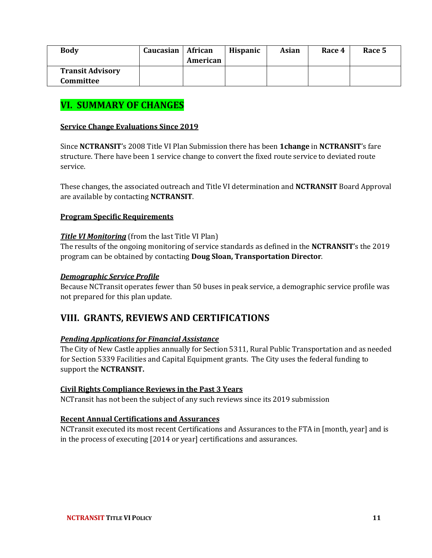| <b>Body</b>                          | Caucasian | African<br>American | <b>Hispanic</b> | Asian | Race 4 | Race 5 |
|--------------------------------------|-----------|---------------------|-----------------|-------|--------|--------|
| <b>Transit Advisory</b><br>Committee |           |                     |                 |       |        |        |

## <span id="page-13-0"></span>**VI. SUMMARY OF CHANGES**

#### <span id="page-13-1"></span>**Service Change Evaluations Since 2019**

Since **NCTRANSIT**'s 2008 Title VI Plan Submission there has been **1change** in **NCTRANSIT**'s fare structure. There have been 1 service change to convert the fixed route service to deviated route service.

These changes, the associated outreach and Title VI determination and **NCTRANSIT** Board Approval are available by contacting **NCTRANSIT**.

#### <span id="page-13-2"></span>**Program Specific Requirements**

#### <span id="page-13-3"></span>*Title VI Monitoring* (from the last Title VI Plan)

The results of the ongoing monitoring of service standards as defined in the **NCTRANSIT**'s the 2019 program can be obtained by contacting **Doug Sloan, Transportation Director**.

#### <span id="page-13-4"></span>*Demographic Service Profile*

Because NCTransit operates fewer than 50 buses in peak service, a demographic service profile was not prepared for this plan update.

#### <span id="page-13-5"></span>**VIII. GRANTS, REVIEWS AND CERTIFICATIONS**

#### <span id="page-13-6"></span>*Pending Applications for Financial Assistance*

The City of New Castle applies annually for Section 5311, Rural Public Transportation and as needed for Section 5339 Facilities and Capital Equipment grants. The City uses the federal funding to support the **NCTRANSIT.**

#### <span id="page-13-7"></span>**Civil Rights Compliance Reviews in the Past 3 Years**

NCTransit has not been the subject of any such reviews since its 2019 submission

#### <span id="page-13-8"></span>**Recent Annual Certifications and Assurances**

NCTransit executed its most recent Certifications and Assurances to the FTA in [month, year] and is in the process of executing [2014 or year] certifications and assurances.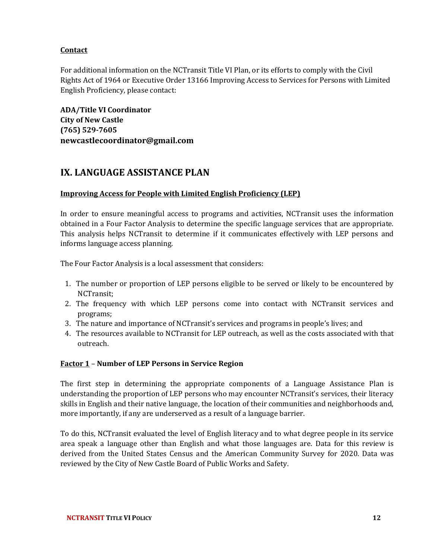#### <span id="page-14-0"></span>**Contact**

For additional information on the NCTransit Title VI Plan, or its efforts to comply with the Civil Rights Act of 1964 or Executive Order 13166 Improving Access to Services for Persons with Limited English Proficiency, please contact:

**ADA/Title VI Coordinator City of New Castle (765) 529-7605 newcastlecoordinator@gmail.com**

## <span id="page-14-1"></span>**IX. LANGUAGE ASSISTANCE PLAN**

#### <span id="page-14-2"></span>**Improving Access for People with Limited English Proficiency (LEP)**

In order to ensure meaningful access to programs and activities, NCTransit uses the information obtained in a Four Factor Analysis to determine the specific language services that are appropriate. This analysis helps NCTransit to determine if it communicates effectively with LEP persons and informs language access planning.

The Four Factor Analysis is a local assessment that considers:

- 1. The number or proportion of LEP persons eligible to be served or likely to be encountered by NCTransit;
- 2. The frequency with which LEP persons come into contact with NCTransit services and programs;
- 3. The nature and importance of NCTransit's services and programs in people's lives; and
- 4. The resources available to NCTransit for LEP outreach, as well as the costs associated with that outreach.

#### <span id="page-14-3"></span>**Factor 1** – **Number of LEP Persons in Service Region**

The first step in determining the appropriate components of a Language Assistance Plan is understanding the proportion of LEP persons who may encounter NCTransit's services, their literacy skills in English and their native language, the location of their communities and neighborhoods and, more importantly, if any are underserved as a result of a language barrier.

To do this, NCTransit evaluated the level of English literacy and to what degree people in its service area speak a language other than English and what those languages are. Data for this review is derived from the United States Census and the American Community Survey for 2020. Data was reviewed by the City of New Castle Board of Public Works and Safety.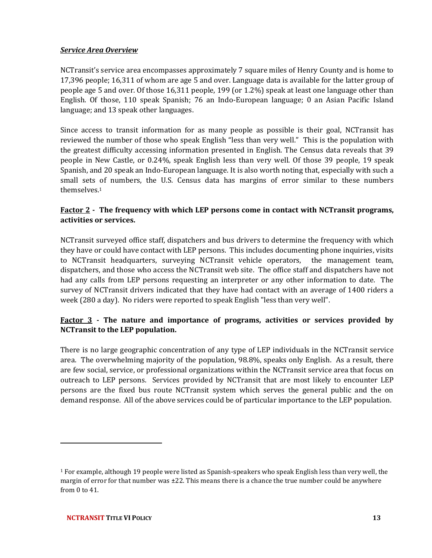#### <span id="page-15-0"></span>*Service Area Overview*

NCTransit's service area encompasses approximately 7 square miles of Henry County and is home to 17,396 people; 16,311 of whom are age 5 and over. Language data is available for the latter group of people age 5 and over. Of those 16,311 people, 199 (or 1.2%) speak at least one language other than English. Of those, 110 speak Spanish; 76 an Indo-European language; 0 an Asian Pacific Island language; and 13 speak other languages.

Since access to transit information for as many people as possible is their goal, NCTransit has reviewed the number of those who speak English "less than very well." This is the population with the greatest difficulty accessing information presented in English. The Census data reveals that 39 people in New Castle, or 0.24%, speak English less than very well. Of those 39 people, 19 speak Spanish, and 20 speak an Indo-European language. It is also worth noting that, especially with such a small sets of numbers, the U.S. Census data has margins of error similar to these numbers themselves.<sup>1</sup>

#### **Factor 2 - The frequency with which LEP persons come in contact with NCTransit programs, activities or services.**

NCTransit surveyed office staff, dispatchers and bus drivers to determine the frequency with which they have or could have contact with LEP persons. This includes documenting phone inquiries, visits to NCTransit headquarters, surveying NCTransit vehicle operators, the management team, dispatchers, and those who access the NCTransit web site. The office staff and dispatchers have not had any calls from LEP persons requesting an interpreter or any other information to date. The survey of NCTransit drivers indicated that they have had contact with an average of 1400 riders a week (280 a day). No riders were reported to speak English "less than very well".

#### **Factor 3 - The nature and importance of programs, activities or services provided by NCTransit to the LEP population.**

There is no large geographic concentration of any type of LEP individuals in the NCTransit service area. The overwhelming majority of the population, 98.8%, speaks only English. As a result, there are few social, service, or professional organizations within the NCTransit service area that focus on outreach to LEP persons. Services provided by NCTransit that are most likely to encounter LEP persons are the fixed bus route NCTransit system which serves the general public and the on demand response. All of the above services could be of particular importance to the LEP population.

<sup>1</sup> For example, although 19 people were listed as Spanish-speakers who speak English less than very well, the margin of error for that number was  $\pm 22$ . This means there is a chance the true number could be anywhere from 0 to 41.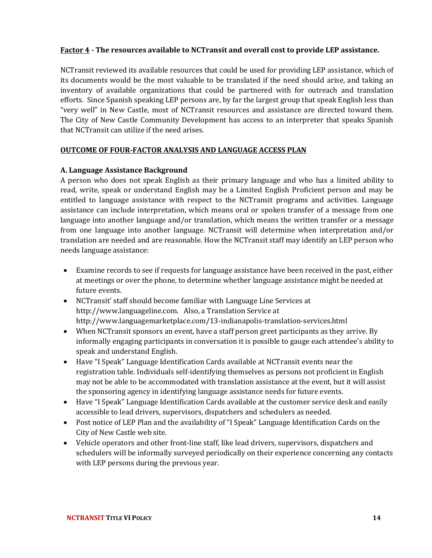#### **Factor 4 - The resources available to NCTransit and overall cost to provide LEP assistance.**

NCTransit reviewed its available resources that could be used for providing LEP assistance, which of its documents would be the most valuable to be translated if the need should arise, and taking an inventory of available organizations that could be partnered with for outreach and translation efforts. Since Spanish speaking LEP persons are, by far the largest group that speak English less than "very well" in New Castle, most of NCTransit resources and assistance are directed toward them. The City of New Castle Community Development has access to an interpreter that speaks Spanish that NCTransit can utilize if the need arises.

#### **OUTCOME OF FOUR-FACTOR ANALYSIS AND LANGUAGE ACCESS PLAN**

#### **A. Language Assistance Background**

A person who does not speak English as their primary language and who has a limited ability to read, write, speak or understand English may be a Limited English Proficient person and may be entitled to language assistance with respect to the NCTransit programs and activities. Language assistance can include interpretation, which means oral or spoken transfer of a message from one language into another language and/or translation, which means the written transfer or a message from one language into another language. NCTransit will determine when interpretation and/or translation are needed and are reasonable. How the NCTransit staff may identify an LEP person who needs language assistance:

- Examine records to see if requests for language assistance have been received in the past, either at meetings or over the phone, to determine whether language assistance might be needed at future events.
- NCTransit' staff should become familiar with Language Line Services at http://www.languageline.com. Also, a Translation Service at http://www.languagemarketplace.com/13-indianapolis-translation-services.html
- When NCTransit sponsors an event, have a staff person greet participants as they arrive. By informally engaging participants in conversation it is possible to gauge each attendee's ability to speak and understand English.
- Have "I Speak" Language Identification Cards available at NCTransit events near the registration table. Individuals self-identifying themselves as persons not proficient in English may not be able to be accommodated with translation assistance at the event, but it will assist the sponsoring agency in identifying language assistance needs for future events.
- Have "I Speak" Language Identification Cards available at the customer service desk and easily accessible to lead drivers, supervisors, dispatchers and schedulers as needed.
- Post notice of LEP Plan and the availability of "I Speak" Language Identification Cards on the City of New Castle web site.
- Vehicle operators and other front-line staff, like lead drivers, supervisors, dispatchers and schedulers will be informally surveyed periodically on their experience concerning any contacts with LEP persons during the previous year.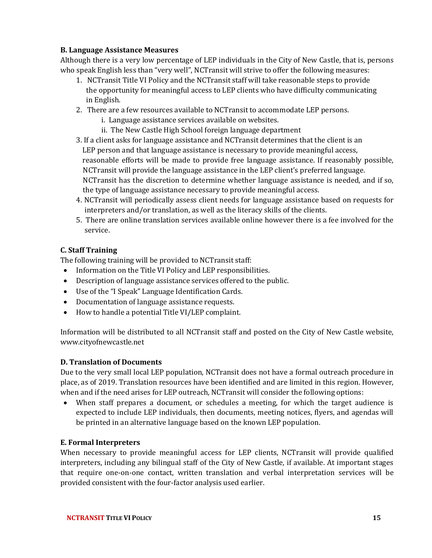#### **B. Language Assistance Measures**

Although there is a very low percentage of LEP individuals in the City of New Castle, that is, persons who speak English less than "very well", NCTransit will strive to offer the following measures:

- 1. NCTransit Title VI Policy and the NCTransit staff will take reasonable steps to provide the opportunity for meaningful access to LEP clients who have difficulty communicating in English.
- 2. There are a few resources available to NCTransit to accommodate LEP persons.
	- i. Language assistance services available on websites.
	- ii. The New Castle High School foreign language department
- 3. If a client asks for language assistance and NCTransit determines that the client is an LEP person and that language assistance is necessary to provide meaningful access, reasonable efforts will be made to provide free language assistance. If reasonably possible, NCTransit will provide the language assistance in the LEP client's preferred language. NCTransit has the discretion to determine whether language assistance is needed, and if so, the type of language assistance necessary to provide meaningful access.
- 4. NCTransit will periodically assess client needs for language assistance based on requests for interpreters and/or translation, as well as the literacy skills of the clients.
- 5. There are online translation services available online however there is a fee involved for the service.

#### **C. Staff Training**

The following training will be provided to NCTransit staff:

- Information on the Title VI Policy and LEP responsibilities.
- Description of language assistance services offered to the public.
- Use of the "I Speak" Language Identification Cards.
- Documentation of language assistance requests.
- How to handle a potential Title VI/LEP complaint.

Information will be distributed to all NCTransit staff and posted on the City of New Castle website, www.cityofnewcastle.net

#### **D. Translation of Documents**

Due to the very small local LEP population, NCTransit does not have a formal outreach procedure in place, as of 2019. Translation resources have been identified and are limited in this region. However, when and if the need arises for LEP outreach, NCTransit will consider the following options:

• When staff prepares a document, or schedules a meeting, for which the target audience is expected to include LEP individuals, then documents, meeting notices, flyers, and agendas will be printed in an alternative language based on the known LEP population.

#### **E. Formal Interpreters**

When necessary to provide meaningful access for LEP clients, NCTransit will provide qualified interpreters, including any bilingual staff of the City of New Castle, if available. At important stages that require one-on-one contact, written translation and verbal interpretation services will be provided consistent with the four-factor analysis used earlier.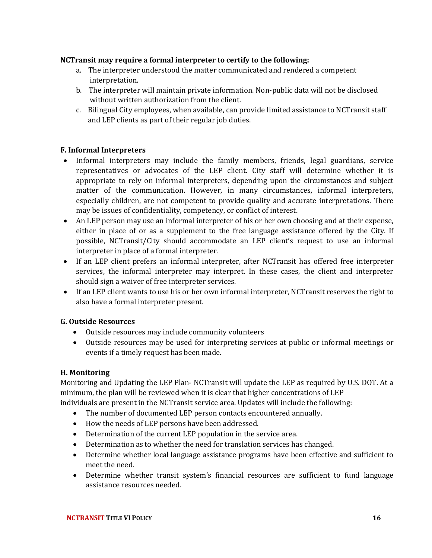#### **NCTransit may require a formal interpreter to certify to the following:**

- a. The interpreter understood the matter communicated and rendered a competent interpretation.
- b. The interpreter will maintain private information. Non-public data will not be disclosed without written authorization from the client.
- c. Bilingual City employees, when available, can provide limited assistance to NCTransit staff and LEP clients as part of their regular job duties.

#### **F. Informal Interpreters**

- Informal interpreters may include the family members, friends, legal guardians, service representatives or advocates of the LEP client. City staff will determine whether it is appropriate to rely on informal interpreters, depending upon the circumstances and subject matter of the communication. However, in many circumstances, informal interpreters, especially children, are not competent to provide quality and accurate interpretations. There may be issues of confidentiality, competency, or conflict of interest.
- An LEP person may use an informal interpreter of his or her own choosing and at their expense, either in place of or as a supplement to the free language assistance offered by the City. If possible, NCTransit/City should accommodate an LEP client's request to use an informal interpreter in place of a formal interpreter.
- If an LEP client prefers an informal interpreter, after NCTransit has offered free interpreter services, the informal interpreter may interpret. In these cases, the client and interpreter should sign a waiver of free interpreter services.
- If an LEP client wants to use his or her own informal interpreter, NCTransit reserves the right to also have a formal interpreter present.

#### **G. Outside Resources**

- Outside resources may include community volunteers
- Outside resources may be used for interpreting services at public or informal meetings or events if a timely request has been made.

#### **H. Monitoring**

Monitoring and Updating the LEP Plan- NCTransit will update the LEP as required by U.S. DOT. At a minimum, the plan will be reviewed when it is clear that higher concentrations of LEP

- individuals are present in the NCTransit service area. Updates will include the following:
	- The number of documented LEP person contacts encountered annually.
	- How the needs of LEP persons have been addressed.
	- Determination of the current LEP population in the service area.
	- Determination as to whether the need for translation services has changed.
	- Determine whether local language assistance programs have been effective and sufficient to meet the need.
	- Determine whether transit system's financial resources are sufficient to fund language assistance resources needed.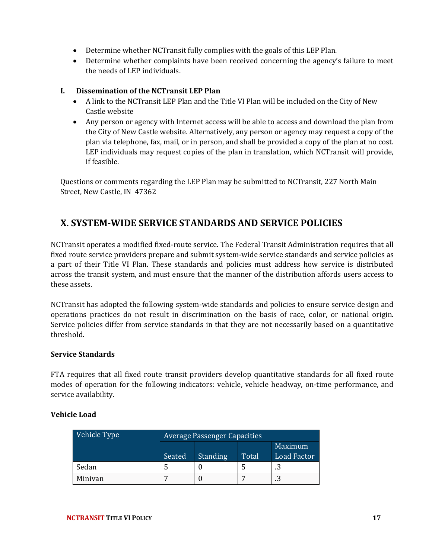- Determine whether NCTransit fully complies with the goals of this LEP Plan.
- Determine whether complaints have been received concerning the agency's failure to meet the needs of LEP individuals.

#### **I. Dissemination of the NCTransit LEP Plan**

- A link to the NCTransit LEP Plan and the Title VI Plan will be included on the City of New Castle website
- <span id="page-19-0"></span>• Any person or agency with Internet access will be able to access and download the plan from the City of New Castle website. Alternatively, any person or agency may request a copy of the plan via telephone, fax, mail, or in person, and shall be provided a copy of the plan at no cost. LEP individuals may request copies of the plan in translation, which NCTransit will provide, if feasible.

Questions or comments regarding the LEP Plan may be submitted to NCTransit, 227 North Main Street, New Castle, IN 47362

## <span id="page-19-1"></span>**X. SYSTEM-WIDE SERVICE STANDARDS AND SERVICE POLICIES**

NCTransit operates a modified fixed-route service. The Federal Transit Administration requires that all fixed route service providers prepare and submit system-wide service standards and service policies as a part of their Title VI Plan. These standards and policies must address how service is distributed across the transit system, and must ensure that the manner of the distribution affords users access to these assets.

NCTransit has adopted the following system-wide standards and policies to ensure service design and operations practices do not result in discrimination on the basis of race, color, or national origin. Service policies differ from service standards in that they are not necessarily based on a quantitative threshold.

#### **Service Standards**

FTA requires that all fixed route transit providers develop quantitative standards for all fixed route modes of operation for the following indicators: vehicle, vehicle headway, on-time performance, and service availability.

#### **Vehicle Load**

| Vehicle Type | <b>Average Passenger Capacities</b> |                 |       |                    |  |  |  |
|--------------|-------------------------------------|-----------------|-------|--------------------|--|--|--|
|              |                                     |                 |       | <b>Maximum</b>     |  |  |  |
|              | Seated                              | <b>Standing</b> | Total | <b>Load Factor</b> |  |  |  |
| Sedan        |                                     |                 |       | .3                 |  |  |  |
| Minivan      |                                     |                 |       |                    |  |  |  |